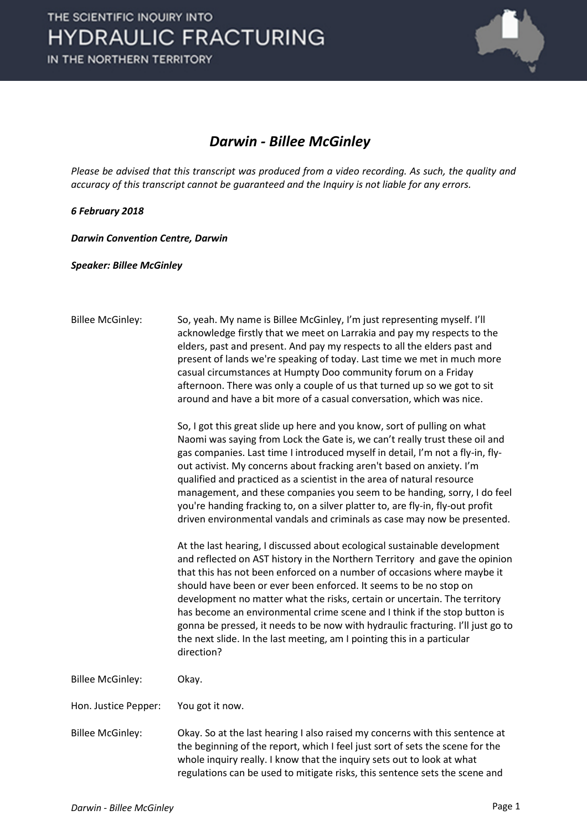

## *Darwin - Billee McGinley*

*Please be advised that this transcript was produced from a video recording. As such, the quality and accuracy of this transcript cannot be guaranteed and the Inquiry is not liable for any errors.*

## *6 February 2018*

*Darwin Convention Centre, Darwin* 

*Speaker: Billee McGinley*

| <b>Billee McGinley:</b> | So, yeah. My name is Billee McGinley, I'm just representing myself. I'll<br>acknowledge firstly that we meet on Larrakia and pay my respects to the<br>elders, past and present. And pay my respects to all the elders past and<br>present of lands we're speaking of today. Last time we met in much more<br>casual circumstances at Humpty Doo community forum on a Friday<br>afternoon. There was only a couple of us that turned up so we got to sit<br>around and have a bit more of a casual conversation, which was nice.<br>So, I got this great slide up here and you know, sort of pulling on what<br>Naomi was saying from Lock the Gate is, we can't really trust these oil and<br>gas companies. Last time I introduced myself in detail, I'm not a fly-in, fly-<br>out activist. My concerns about fracking aren't based on anxiety. I'm<br>qualified and practiced as a scientist in the area of natural resource |
|-------------------------|----------------------------------------------------------------------------------------------------------------------------------------------------------------------------------------------------------------------------------------------------------------------------------------------------------------------------------------------------------------------------------------------------------------------------------------------------------------------------------------------------------------------------------------------------------------------------------------------------------------------------------------------------------------------------------------------------------------------------------------------------------------------------------------------------------------------------------------------------------------------------------------------------------------------------------|
|                         | management, and these companies you seem to be handing, sorry, I do feel<br>you're handing fracking to, on a silver platter to, are fly-in, fly-out profit<br>driven environmental vandals and criminals as case may now be presented.                                                                                                                                                                                                                                                                                                                                                                                                                                                                                                                                                                                                                                                                                           |
|                         | At the last hearing, I discussed about ecological sustainable development<br>and reflected on AST history in the Northern Territory and gave the opinion<br>that this has not been enforced on a number of occasions where maybe it<br>should have been or ever been enforced. It seems to be no stop on<br>development no matter what the risks, certain or uncertain. The territory<br>has become an environmental crime scene and I think if the stop button is<br>gonna be pressed, it needs to be now with hydraulic fracturing. I'll just go to<br>the next slide. In the last meeting, am I pointing this in a particular<br>direction?                                                                                                                                                                                                                                                                                   |
| <b>Billee McGinley:</b> | Okay.                                                                                                                                                                                                                                                                                                                                                                                                                                                                                                                                                                                                                                                                                                                                                                                                                                                                                                                            |
| Hon. Justice Pepper:    | You got it now.                                                                                                                                                                                                                                                                                                                                                                                                                                                                                                                                                                                                                                                                                                                                                                                                                                                                                                                  |
| <b>Billee McGinley:</b> | Okay. So at the last hearing I also raised my concerns with this sentence at<br>the beginning of the report, which I feel just sort of sets the scene for the<br>whole inquiry really. I know that the inquiry sets out to look at what<br>regulations can be used to mitigate risks, this sentence sets the scene and                                                                                                                                                                                                                                                                                                                                                                                                                                                                                                                                                                                                           |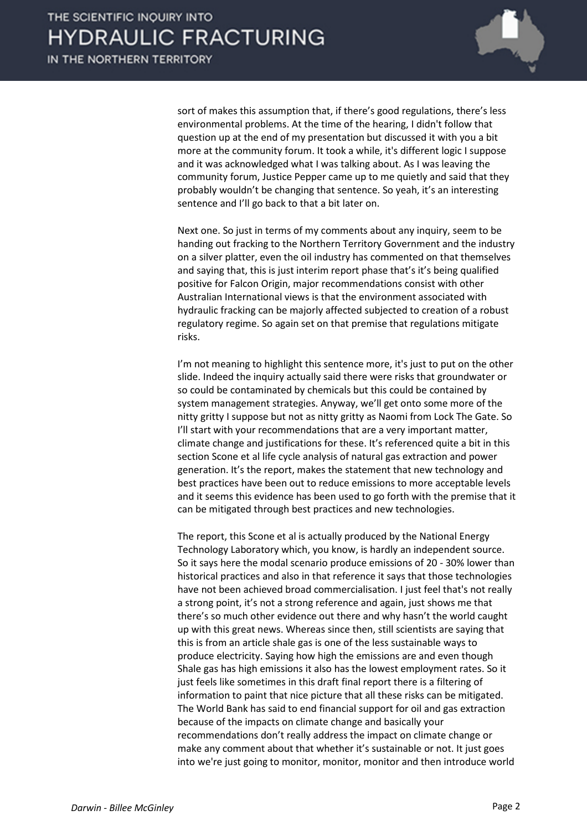

sort of makes this assumption that, if there's good regulations, there's less environmental problems. At the time of the hearing, I didn't follow that question up at the end of my presentation but discussed it with you a bit more at the community forum. It took a while, it's different logic I suppose and it was acknowledged what I was talking about. As I was leaving the community forum, Justice Pepper came up to me quietly and said that they probably wouldn't be changing that sentence. So yeah, it's an interesting sentence and I'll go back to that a bit later on.

Next one. So just in terms of my comments about any inquiry, seem to be handing out fracking to the Northern Territory Government and the industry on a silver platter, even the oil industry has commented on that themselves and saying that, this is just interim report phase that's it's being qualified positive for Falcon Origin, major recommendations consist with other Australian International views is that the environment associated with hydraulic fracking can be majorly affected subjected to creation of a robust regulatory regime. So again set on that premise that regulations mitigate risks.

I'm not meaning to highlight this sentence more, it's just to put on the other slide. Indeed the inquiry actually said there were risks that groundwater or so could be contaminated by chemicals but this could be contained by system management strategies. Anyway, we'll get onto some more of the nitty gritty I suppose but not as nitty gritty as Naomi from Lock The Gate. So I'll start with your recommendations that are a very important matter, climate change and justifications for these. It's referenced quite a bit in this section Scone et al life cycle analysis of natural gas extraction and power generation. It's the report, makes the statement that new technology and best practices have been out to reduce emissions to more acceptable levels and it seems this evidence has been used to go forth with the premise that it can be mitigated through best practices and new technologies.

The report, this Scone et al is actually produced by the National Energy Technology Laboratory which, you know, is hardly an independent source. So it says here the modal scenario produce emissions of 20 - 30% lower than historical practices and also in that reference it says that those technologies have not been achieved broad commercialisation. I just feel that's not really a strong point, it's not a strong reference and again, just shows me that there's so much other evidence out there and why hasn't the world caught up with this great news. Whereas since then, still scientists are saying that this is from an article shale gas is one of the less sustainable ways to produce electricity. Saying how high the emissions are and even though Shale gas has high emissions it also has the lowest employment rates. So it just feels like sometimes in this draft final report there is a filtering of information to paint that nice picture that all these risks can be mitigated. The World Bank has said to end financial support for oil and gas extraction because of the impacts on climate change and basically your recommendations don't really address the impact on climate change or make any comment about that whether it's sustainable or not. It just goes into we're just going to monitor, monitor, monitor and then introduce world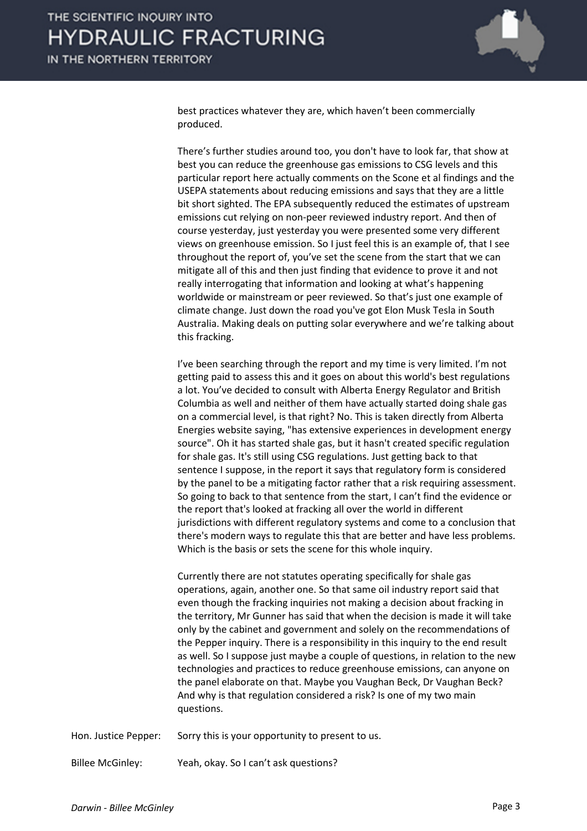

best practices whatever they are, which haven't been commercially produced.

There's further studies around too, you don't have to look far, that show at best you can reduce the greenhouse gas emissions to CSG levels and this particular report here actually comments on the Scone et al findings and the USEPA statements about reducing emissions and says that they are a little bit short sighted. The EPA subsequently reduced the estimates of upstream emissions cut relying on non-peer reviewed industry report. And then of course yesterday, just yesterday you were presented some very different views on greenhouse emission. So I just feel this is an example of, that I see throughout the report of, you've set the scene from the start that we can mitigate all of this and then just finding that evidence to prove it and not really interrogating that information and looking at what's happening worldwide or mainstream or peer reviewed. So that's just one example of climate change. Just down the road you've got Elon Musk Tesla in South Australia. Making deals on putting solar everywhere and we're talking about this fracking.

I've been searching through the report and my time is very limited. I'm not getting paid to assess this and it goes on about this world's best regulations a lot. You've decided to consult with Alberta Energy Regulator and British Columbia as well and neither of them have actually started doing shale gas on a commercial level, is that right? No. This is taken directly from Alberta Energies website saying, "has extensive experiences in development energy source". Oh it has started shale gas, but it hasn't created specific regulation for shale gas. It's still using CSG regulations. Just getting back to that sentence I suppose, in the report it says that regulatory form is considered by the panel to be a mitigating factor rather that a risk requiring assessment. So going to back to that sentence from the start, I can't find the evidence or the report that's looked at fracking all over the world in different jurisdictions with different regulatory systems and come to a conclusion that there's modern ways to regulate this that are better and have less problems. Which is the basis or sets the scene for this whole inquiry.

Currently there are not statutes operating specifically for shale gas operations, again, another one. So that same oil industry report said that even though the fracking inquiries not making a decision about fracking in the territory, Mr Gunner has said that when the decision is made it will take only by the cabinet and government and solely on the recommendations of the Pepper inquiry. There is a responsibility in this inquiry to the end result as well. So I suppose just maybe a couple of questions, in relation to the new technologies and practices to reduce greenhouse emissions, can anyone on the panel elaborate on that. Maybe you Vaughan Beck, Dr Vaughan Beck? And why is that regulation considered a risk? Is one of my two main questions.

Hon. Justice Pepper: Sorry this is your opportunity to present to us.

Billee McGinley: Yeah, okay. So I can't ask questions?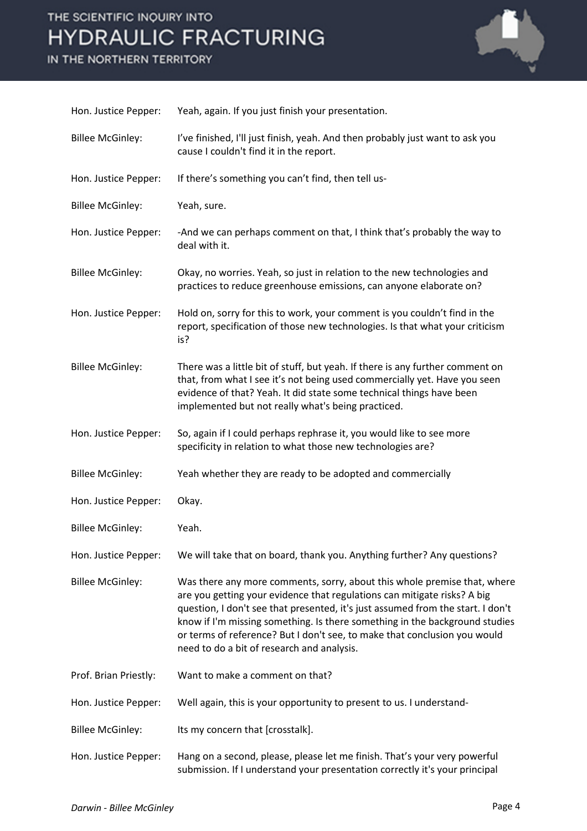## THE SCIENTIFIC INQUIRY INTO **HYDRAULIC FRACTURING**

IN THE NORTHERN TERRITORY



| Hon. Justice Pepper:    | Yeah, again. If you just finish your presentation.                                                                                                                                                                                                                                                                                                                                                                                                |
|-------------------------|---------------------------------------------------------------------------------------------------------------------------------------------------------------------------------------------------------------------------------------------------------------------------------------------------------------------------------------------------------------------------------------------------------------------------------------------------|
| <b>Billee McGinley:</b> | I've finished, I'll just finish, yeah. And then probably just want to ask you<br>cause I couldn't find it in the report.                                                                                                                                                                                                                                                                                                                          |
| Hon. Justice Pepper:    | If there's something you can't find, then tell us-                                                                                                                                                                                                                                                                                                                                                                                                |
| <b>Billee McGinley:</b> | Yeah, sure.                                                                                                                                                                                                                                                                                                                                                                                                                                       |
| Hon. Justice Pepper:    | -And we can perhaps comment on that, I think that's probably the way to<br>deal with it.                                                                                                                                                                                                                                                                                                                                                          |
| <b>Billee McGinley:</b> | Okay, no worries. Yeah, so just in relation to the new technologies and<br>practices to reduce greenhouse emissions, can anyone elaborate on?                                                                                                                                                                                                                                                                                                     |
| Hon. Justice Pepper:    | Hold on, sorry for this to work, your comment is you couldn't find in the<br>report, specification of those new technologies. Is that what your criticism<br>is?                                                                                                                                                                                                                                                                                  |
| <b>Billee McGinley:</b> | There was a little bit of stuff, but yeah. If there is any further comment on<br>that, from what I see it's not being used commercially yet. Have you seen<br>evidence of that? Yeah. It did state some technical things have been<br>implemented but not really what's being practiced.                                                                                                                                                          |
| Hon. Justice Pepper:    | So, again if I could perhaps rephrase it, you would like to see more<br>specificity in relation to what those new technologies are?                                                                                                                                                                                                                                                                                                               |
| <b>Billee McGinley:</b> | Yeah whether they are ready to be adopted and commercially                                                                                                                                                                                                                                                                                                                                                                                        |
| Hon. Justice Pepper:    | Okay.                                                                                                                                                                                                                                                                                                                                                                                                                                             |
| <b>Billee McGinley:</b> | Yeah.                                                                                                                                                                                                                                                                                                                                                                                                                                             |
| Hon. Justice Pepper:    | We will take that on board, thank you. Anything further? Any questions?                                                                                                                                                                                                                                                                                                                                                                           |
| <b>Billee McGinley:</b> | Was there any more comments, sorry, about this whole premise that, where<br>are you getting your evidence that regulations can mitigate risks? A big<br>question, I don't see that presented, it's just assumed from the start. I don't<br>know if I'm missing something. Is there something in the background studies<br>or terms of reference? But I don't see, to make that conclusion you would<br>need to do a bit of research and analysis. |
| Prof. Brian Priestly:   | Want to make a comment on that?                                                                                                                                                                                                                                                                                                                                                                                                                   |
| Hon. Justice Pepper:    | Well again, this is your opportunity to present to us. I understand-                                                                                                                                                                                                                                                                                                                                                                              |
| <b>Billee McGinley:</b> | Its my concern that [crosstalk].                                                                                                                                                                                                                                                                                                                                                                                                                  |
| Hon. Justice Pepper:    | Hang on a second, please, please let me finish. That's your very powerful<br>submission. If I understand your presentation correctly it's your principal                                                                                                                                                                                                                                                                                          |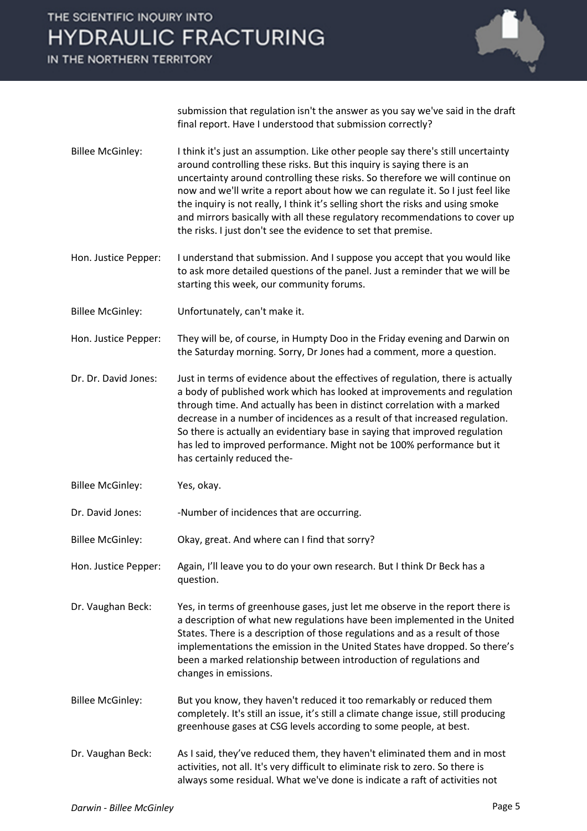## THE SCIENTIFIC INQUIRY INTO **HYDRAULIC FRACTURING**

IN THE NORTHERN TERRITORY



submission that regulation isn't the answer as you say we've said in the draft final report. Have I understood that submission correctly?

- Billee McGinley: I think it's just an assumption. Like other people say there's still uncertainty around controlling these risks. But this inquiry is saying there is an uncertainty around controlling these risks. So therefore we will continue on now and we'll write a report about how we can regulate it. So I just feel like the inquiry is not really, I think it's selling short the risks and using smoke and mirrors basically with all these regulatory recommendations to cover up the risks. I just don't see the evidence to set that premise.
- Hon. Justice Pepper: I understand that submission. And I suppose you accept that you would like to ask more detailed questions of the panel. Just a reminder that we will be starting this week, our community forums.
- Billee McGinley: Unfortunately, can't make it.
- Hon. Justice Pepper: They will be, of course, in Humpty Doo in the Friday evening and Darwin on the Saturday morning. Sorry, Dr Jones had a comment, more a question.
- Dr. Dr. David Jones: Just in terms of evidence about the effectives of regulation, there is actually a body of published work which has looked at improvements and regulation through time. And actually has been in distinct correlation with a marked decrease in a number of incidences as a result of that increased regulation. So there is actually an evidentiary base in saying that improved regulation has led to improved performance. Might not be 100% performance but it has certainly reduced the-
- Billee McGinley: Yes, okay.

Dr. David Jones: - - Number of incidences that are occurring.

Billee McGinley: Okay, great. And where can I find that sorry?

- Hon. Justice Pepper: Again, I'll leave you to do your own research. But I think Dr Beck has a question.
- Dr. Vaughan Beck: Yes, in terms of greenhouse gases, just let me observe in the report there is a description of what new regulations have been implemented in the United States. There is a description of those regulations and as a result of those implementations the emission in the United States have dropped. So there's been a marked relationship between introduction of regulations and changes in emissions.
- Billee McGinley: But you know, they haven't reduced it too remarkably or reduced them completely. It's still an issue, it's still a climate change issue, still producing greenhouse gases at CSG levels according to some people, at best.
- Dr. Vaughan Beck: As I said, they've reduced them, they haven't eliminated them and in most activities, not all. It's very difficult to eliminate risk to zero. So there is always some residual. What we've done is indicate a raft of activities not